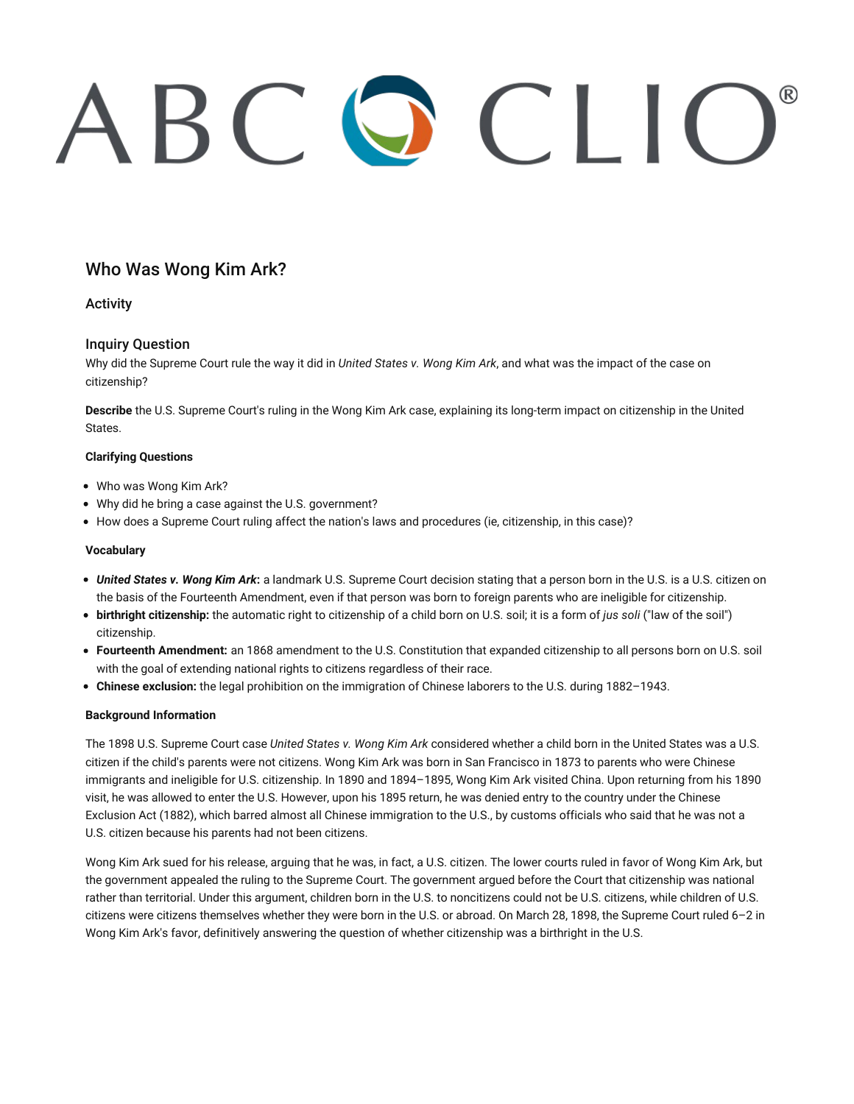# ABC Q CLIO

# Who Was Wong Kim Ark?

# Activity

# Inquiry Question

Why did the Supreme Court rule the way it did in *United States v. Wong Kim Ark*, and what was the impact of the case on citizenship?

**Describe** the U.S. Supreme Court's ruling in the Wong Kim Ark case, explaining its long-term impact on citizenship in the United States.

### **Clarifying Questions**

- Who was Wong Kim Ark?
- Why did he bring a case against the U.S. government?
- How does a Supreme Court ruling affect the nation's laws and procedures (ie, citizenship, in this case)?

#### **Vocabulary**

- *United States v. Wong Kim Ark***:** a landmark U.S. Supreme Court decision stating that a person born in the U.S. is a U.S. citizen on the basis of the Fourteenth Amendment, even if that person was born to foreign parents who are ineligible for citizenship.
- **birthright citizenship:** the automatic right to citizenship of a child born on U.S. soil; it is a form of *jus soli* ("law of the soil") citizenship.
- **Fourteenth Amendment:** an 1868 amendment to the U.S. Constitution that expanded citizenship to all persons born on U.S. soil with the goal of extending national rights to citizens regardless of their race.
- **Chinese exclusion:** the legal prohibition on the immigration of Chinese laborers to the U.S. during 1882–1943.

#### **Background Information**

The 1898 U.S. Supreme Court case *United States v. Wong Kim Ark* considered whether a child born in the United States was a U.S. citizen if the child's parents were not citizens. Wong Kim Ark was born in San Francisco in 1873 to parents who were Chinese immigrants and ineligible for U.S. citizenship. In 1890 and 1894–1895, Wong Kim Ark visited China. Upon returning from his 1890 visit, he was allowed to enter the U.S. However, upon his 1895 return, he was denied entry to the country under the Chinese Exclusion Act (1882), which barred almost all Chinese immigration to the U.S., by customs officials who said that he was not a U.S. citizen because his parents had not been citizens.

Wong Kim Ark sued for his release, arguing that he was, in fact, a U.S. citizen. The lower courts ruled in favor of Wong Kim Ark, but the government appealed the ruling to the Supreme Court. The government argued before the Court that citizenship was national rather than territorial. Under this argument, children born in the U.S. to noncitizens could not be U.S. citizens, while children of U.S. citizens were citizens themselves whether they were born in the U.S. or abroad. On March 28, 1898, the Supreme Court ruled 6–2 in Wong Kim Ark's favor, definitively answering the question of whether citizenship was a birthright in the U.S.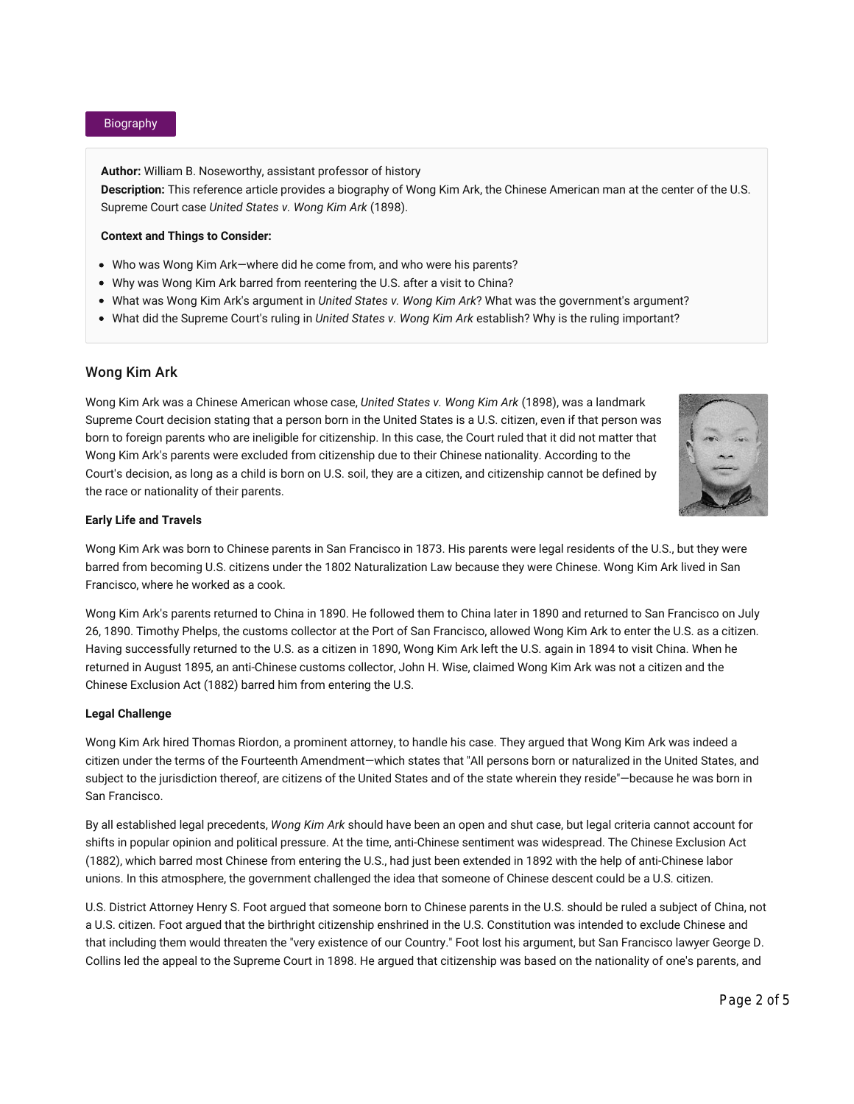#### Biography

**Author:** William B. Noseworthy, assistant professor of history **Description:** This reference article provides a biography of Wong Kim Ark, the Chinese American man at the center of the U.S. Supreme Court case *United States v. Wong Kim Ark* (1898).

#### **Context and Things to Consider:**

- Who was Wong Kim Ark—where did he come from, and who were his parents?
- Why was Wong Kim Ark barred from reentering the U.S. after a visit to China?
- What was Wong Kim Ark's argument in *United States v. Wong Kim Ark*? What was the government's argument?
- What did the Supreme Court's ruling in *United States v. Wong Kim Ark* establish? Why is the ruling important?

#### Wong Kim Ark

Wong Kim Ark was a Chinese American whose case, *United States v. Wong Kim Ark* (1898), was a landmark Supreme Court decision stating that a person born in the United States is a U.S. citizen, even if that person was born to foreign parents who are ineligible for citizenship. In this case, the Court ruled that it did not matter that Wong Kim Ark's parents were excluded from citizenship due to their Chinese nationality. According to the Court's decision, as long as a child is born on U.S. soil, they are a citizen, and citizenship cannot be defined by the race or nationality of their parents.



#### **Early Life and Travels**

Wong Kim Ark was born to Chinese parents in San Francisco in 1873. His parents were legal residents of the U.S., but they were barred from becoming U.S. citizens under the 1802 Naturalization Law because they were Chinese. Wong Kim Ark lived in San Francisco, where he worked as a cook.

Wong Kim Ark's parents returned to China in 1890. He followed them to China later in 1890 and returned to San Francisco on July 26, 1890. Timothy Phelps, the customs collector at the Port of San Francisco, allowed Wong Kim Ark to enter the U.S. as a citizen. Having successfully returned to the U.S. as a citizen in 1890, Wong Kim Ark left the U.S. again in 1894 to visit China. When he returned in August 1895, an anti-Chinese customs collector, John H. Wise, claimed Wong Kim Ark was not a citizen and the Chinese Exclusion Act (1882) barred him from entering the U.S.

#### **Legal Challenge**

Wong Kim Ark hired Thomas Riordon, a prominent attorney, to handle his case. They argued that Wong Kim Ark was indeed a citizen under the terms of the Fourteenth Amendment—which states that "All persons born or naturalized in the United States, and subject to the jurisdiction thereof, are citizens of the United States and of the state wherein they reside"—because he was born in San Francisco.

By all established legal precedents, *Wong Kim Ark* should have been an open and shut case, but legal criteria cannot account for shifts in popular opinion and political pressure. At the time, anti-Chinese sentiment was widespread. The Chinese Exclusion Act (1882), which barred most Chinese from entering the U.S., had just been extended in 1892 with the help of anti-Chinese labor unions. In this atmosphere, the government challenged the idea that someone of Chinese descent could be a U.S. citizen.

U.S. District Attorney Henry S. Foot argued that someone born to Chinese parents in the U.S. should be ruled a subject of China, not a U.S. citizen. Foot argued that the birthright citizenship enshrined in the U.S. Constitution was intended to exclude Chinese and that including them would threaten the "very existence of our Country." Foot lost his argument, but San Francisco lawyer George D. Collins led the appeal to the Supreme Court in 1898. He argued that citizenship was based on the nationality of one's parents, and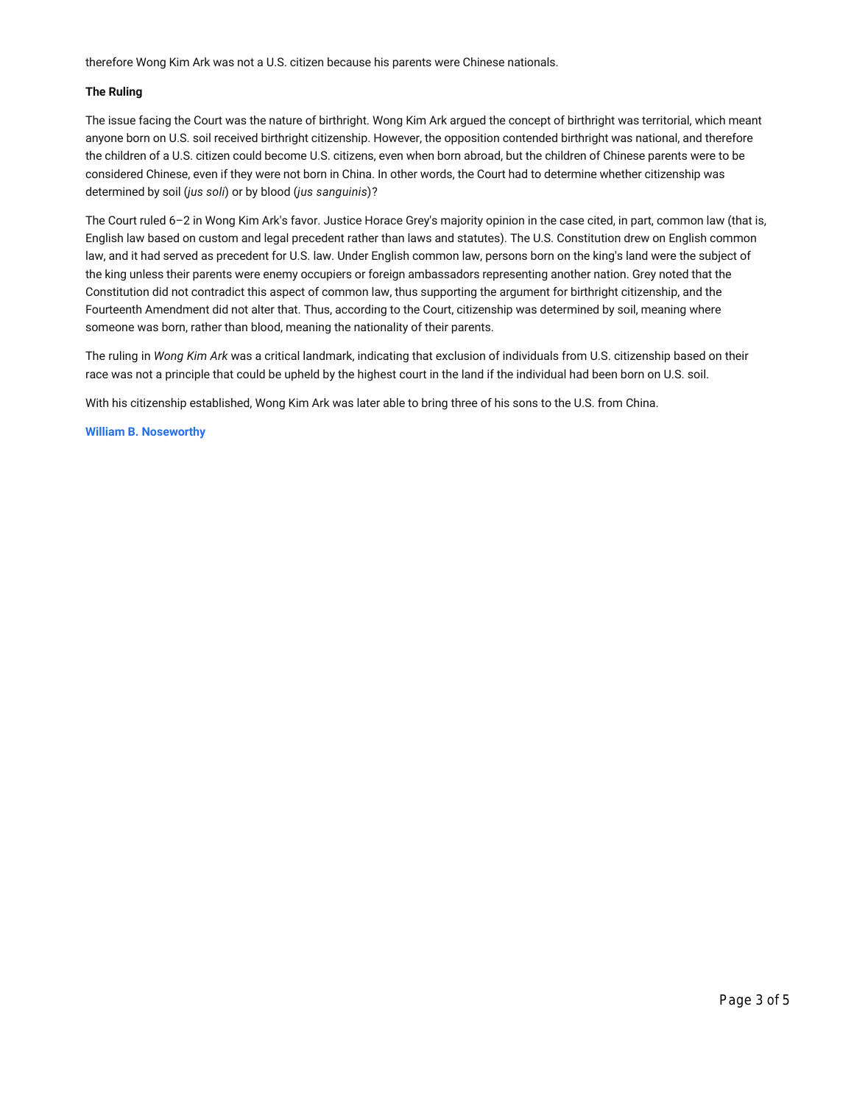therefore Wong Kim Ark was not a U.S. citizen because his parents were Chinese nationals.

#### **The Ruling**

The issue facing the Court was the nature of birthright. Wong Kim Ark argued the concept of birthright was territorial, which meant anyone born on U.S. soil received birthright citizenship. However, the opposition contended birthright was national, and therefore the children of a U.S. citizen could become U.S. citizens, even when born abroad, but the children of Chinese parents were to be considered Chinese, even if they were not born in China. In other words, the Court had to determine whether citizenship was determined by soil (*jus soli*) or by blood (*jus sanguinis*)?

The Court ruled 6–2 in Wong Kim Ark's favor. Justice Horace Grey's majority opinion in the case cited, in part, common law (that is, English law based on custom and legal precedent rather than laws and statutes). The U.S. Constitution drew on English common law, and it had served as precedent for U.S. law. Under English common law, persons born on the king's land were the subject of the king unless their parents were enemy occupiers or foreign ambassadors representing another nation. Grey noted that the Constitution did not contradict this aspect of common law, thus supporting the argument for birthright citizenship, and the Fourteenth Amendment did not alter that. Thus, according to the Court, citizenship was determined by soil, meaning where someone was born, rather than blood, meaning the nationality of their parents.

The ruling in *Wong Kim Ark* was a critical landmark, indicating that exclusion of individuals from U.S. citizenship based on their race was not a principle that could be upheld by the highest court in the land if the individual had been born on U.S. soil.

With his citizenship established, Wong Kim Ark was later able to bring three of his sons to the U.S. from China.

#### **William B. Noseworthy**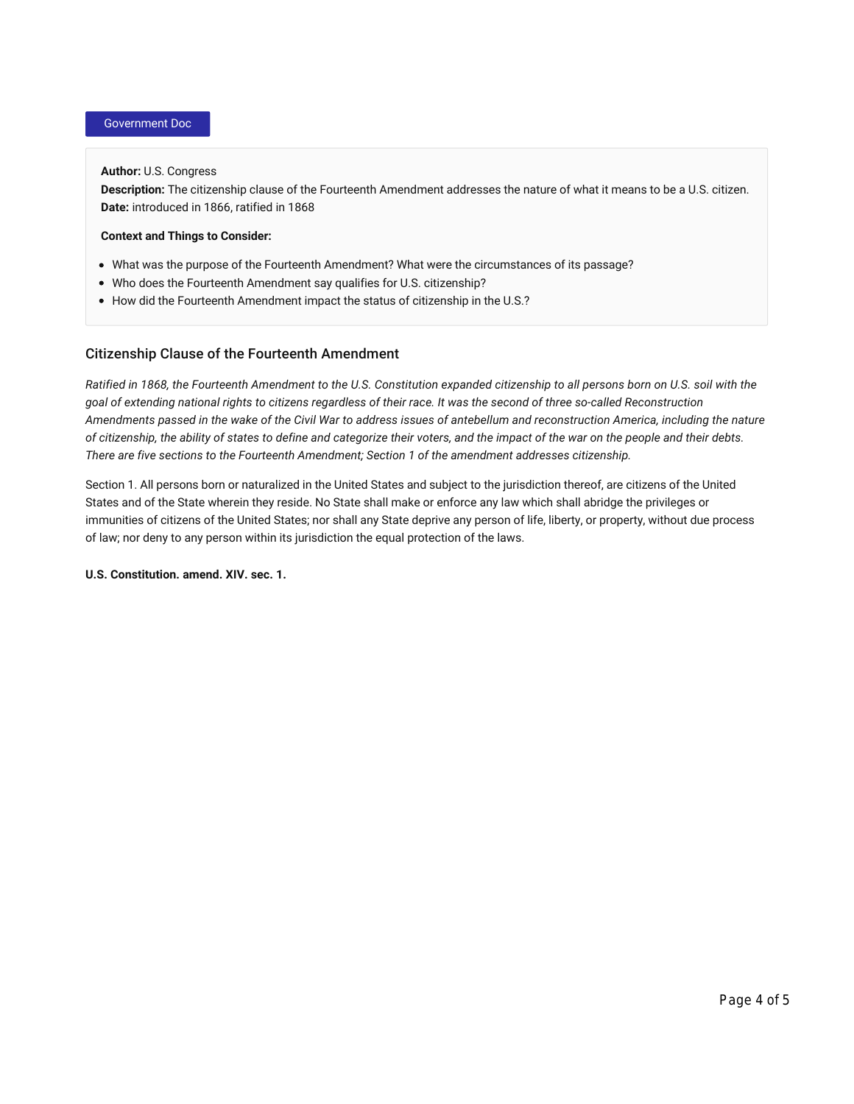# Government Doc

#### **Author:** U.S. Congress

**Description:** The citizenship clause of the Fourteenth Amendment addresses the nature of what it means to be a U.S. citizen. **Date:** introduced in 1866, ratified in 1868

#### **Context and Things to Consider:**

- What was the purpose of the Fourteenth Amendment? What were the circumstances of its passage?
- Who does the Fourteenth Amendment say qualifies for U.S. citizenship?
- How did the Fourteenth Amendment impact the status of citizenship in the U.S.?

# Citizenship Clause of the Fourteenth Amendment

*Ratified in 1868, the Fourteenth Amendment to the U.S. Constitution expanded citizenship to all persons born on U.S. soil with the goal of extending national rights to citizens regardless of their race. It was the second of three so-called Reconstruction Amendments passed in the wake of the Civil War to address issues of antebellum and reconstruction America, including the nature of citizenship, the ability of states to define and categorize their voters, and the impact of the war on the people and their debts. There are five sections to the Fourteenth Amendment; Section 1 of the amendment addresses citizenship.*

Section 1. All persons born or naturalized in the United States and subject to the jurisdiction thereof, are citizens of the United States and of the State wherein they reside. No State shall make or enforce any law which shall abridge the privileges or immunities of citizens of the United States; nor shall any State deprive any person of life, liberty, or property, without due process of law; nor deny to any person within its jurisdiction the equal protection of the laws.

**U.S. Constitution. amend. XIV. sec. 1.**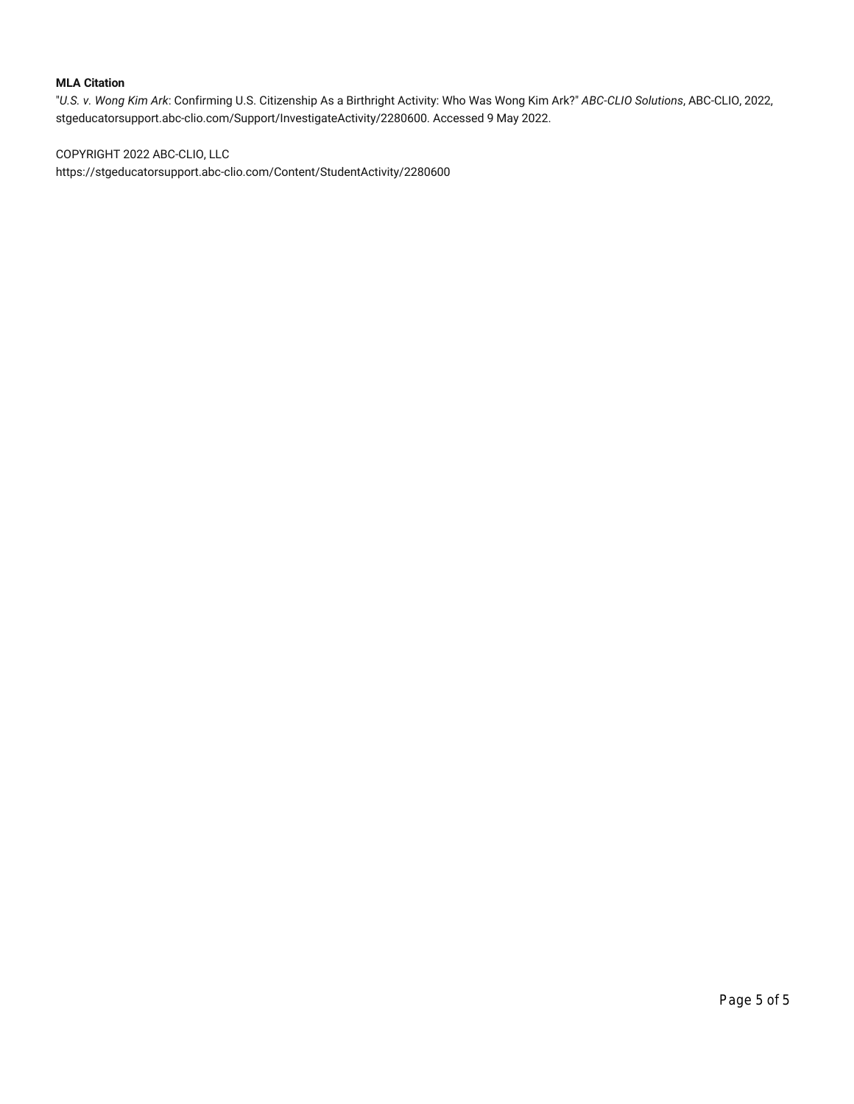## **MLA Citation**

"*U.S. v. Wong Kim Ark*: Confirming U.S. Citizenship As a Birthright Activity: Who Was Wong Kim Ark?" *ABC-CLIO Solutions*, ABC-CLIO, 2022, stgeducatorsupport.abc-clio.com/Support/InvestigateActivity/2280600. Accessed 9 May 2022.

COPYRIGHT 2022 ABC-CLIO, LLC

https://stgeducatorsupport.abc-clio.com/Content/StudentActivity/2280600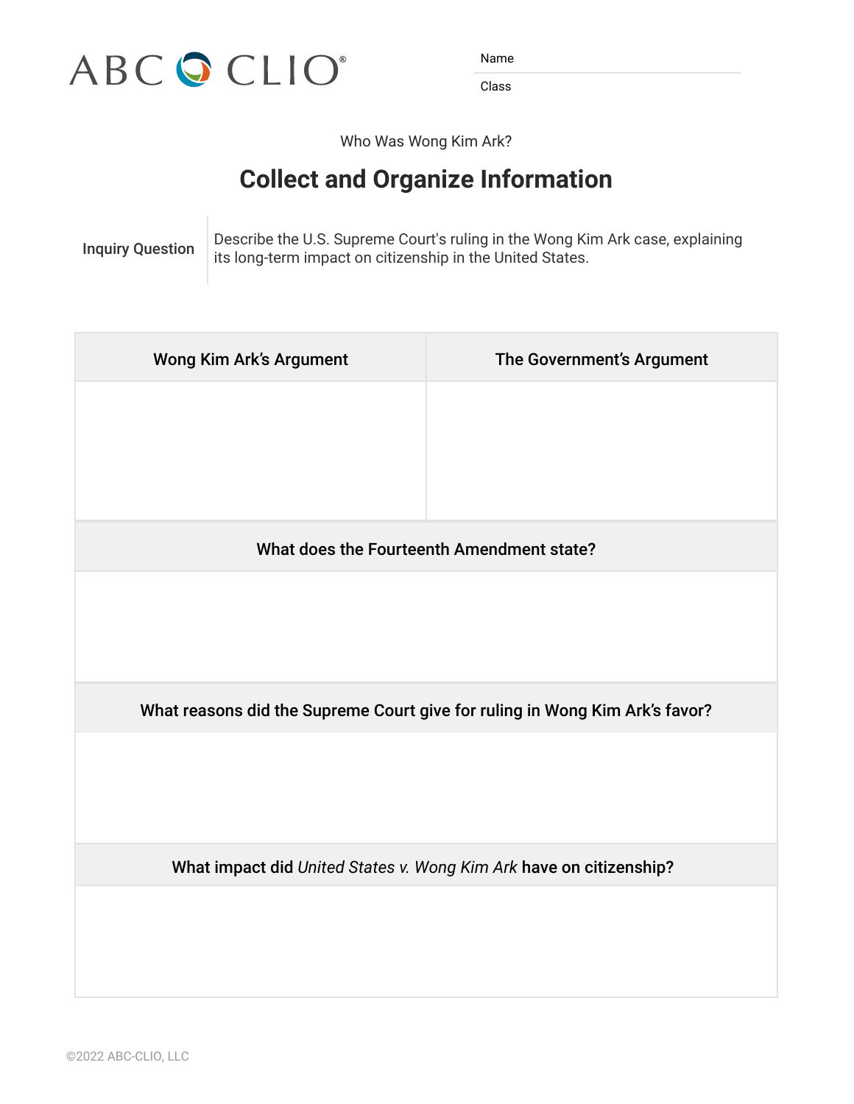

Name Name Name Name

Class Class Class Class

Who Was Wong Kim Ark?

# **Collect and Organize Information Collect and Organize Information**

Inquiry Question **Present in Avenue Court's ruling in the Wong Kim Ark case**, explaining location its long-term impact on citizenship in the United States.  $\sim$  the U.S. **Inquiry Question** Describe the U.S. Supreme Court's ruling in the Wong Kim Ark case, explainin

| <b>Wong Kim Ark's Argument</b>                                              | The Government's Argument |
|-----------------------------------------------------------------------------|---------------------------|
|                                                                             |                           |
|                                                                             |                           |
| What does the Fourteenth Amendment state?                                   |                           |
|                                                                             |                           |
| What reasons did the Supreme Court give for ruling in Wong Kim Ark's favor? |                           |
|                                                                             |                           |
| What impact did United States v. Wong Kim Ark have on citizenship?          |                           |
|                                                                             |                           |